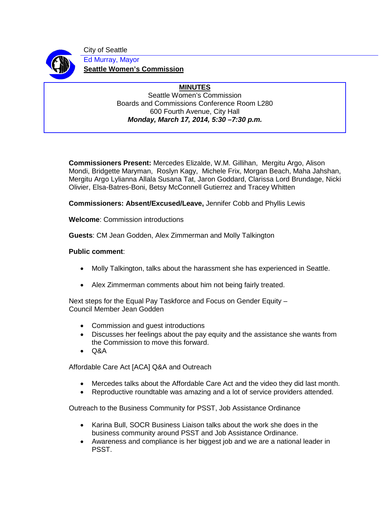

City of Seattle Ed Murray, Mayor **Seattle Women's Commission**

## **MINUTES** Seattle Women's Commission Boards and Commissions Conference Room L280 600 Fourth Avenue, City Hall *Monday, March 17, 2014, 5:30 –7:30 p.m.*

**Commissioners Present:** Mercedes Elizalde, W.M. Gillihan, Mergitu Argo, Alison Mondi, Bridgette Maryman, Roslyn Kagy, Michele Frix, Morgan Beach, Maha Jahshan, Mergitu Argo Lylianna Allala Susana Tat, Jaron Goddard, Clarissa Lord Brundage, Nicki Olivier, Elsa-Batres-Boni, Betsy McConnell Gutierrez and Tracey Whitten

**Commissioners: Absent/Excused/Leave,** Jennifer Cobb and Phyllis Lewis

**Welcome**: Commission introductions

**Guests**: CM Jean Godden, Alex Zimmerman and Molly Talkington

## **Public comment**:

- Molly Talkington, talks about the harassment she has experienced in Seattle.
- Alex Zimmerman comments about him not being fairly treated.

Next steps for the Equal Pay Taskforce and Focus on Gender Equity – Council Member Jean Godden

- Commission and guest introductions
- Discusses her feelings about the pay equity and the assistance she wants from the Commission to move this forward.
- Q&A

Affordable Care Act [ACA] Q&A and Outreach

- Mercedes talks about the Affordable Care Act and the video they did last month.
- Reproductive roundtable was amazing and a lot of service providers attended.

Outreach to the Business Community for PSST, Job Assistance Ordinance

- Karina Bull, SOCR Business Liaison talks about the work she does in the business community around PSST and Job Assistance Ordinance.
- Awareness and compliance is her biggest job and we are a national leader in PSST.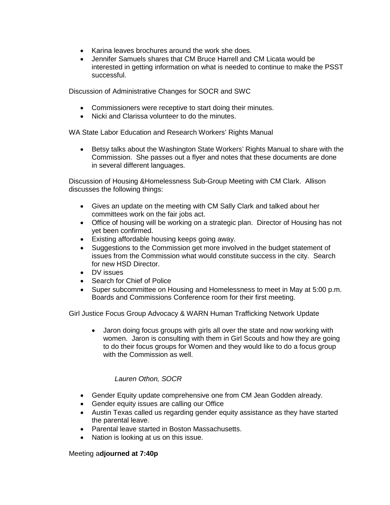- Karina leaves brochures around the work she does.
- Jennifer Samuels shares that CM Bruce Harrell and CM Licata would be interested in getting information on what is needed to continue to make the PSST successful.

Discussion of Administrative Changes for SOCR and SWC

- Commissioners were receptive to start doing their minutes.
- Nicki and Clarissa volunteer to do the minutes.

WA State Labor Education and Research Workers' Rights Manual

• Betsy talks about the Washington State Workers' Rights Manual to share with the Commission. She passes out a flyer and notes that these documents are done in several different languages.

Discussion of Housing &Homelessness Sub-Group Meeting with CM Clark. Allison discusses the following things:

- Gives an update on the meeting with CM Sally Clark and talked about her committees work on the fair jobs act.
- Office of housing will be working on a strategic plan. Director of Housing has not yet been confirmed.
- Existing affordable housing keeps going away.
- Suggestions to the Commission get more involved in the budget statement of issues from the Commission what would constitute success in the city. Search for new HSD Director.
- DV issues
- Search for Chief of Police
- Super subcommittee on Housing and Homelessness to meet in May at 5:00 p.m. Boards and Commissions Conference room for their first meeting.

Girl Justice Focus Group Advocacy & WARN Human Trafficking Network Update

• Jaron doing focus groups with girls all over the state and now working with women. Jaron is consulting with them in Girl Scouts and how they are going to do their focus groups for Women and they would like to do a focus group with the Commission as well.

## *Lauren Othon, SOCR*

- Gender Equity update comprehensive one from CM Jean Godden already.
- Gender equity issues are calling our Office
- Austin Texas called us regarding gender equity assistance as they have started the parental leave.
- Parental leave started in Boston Massachusetts.
- Nation is looking at us on this issue.

## Meeting a**djourned at 7:40p**